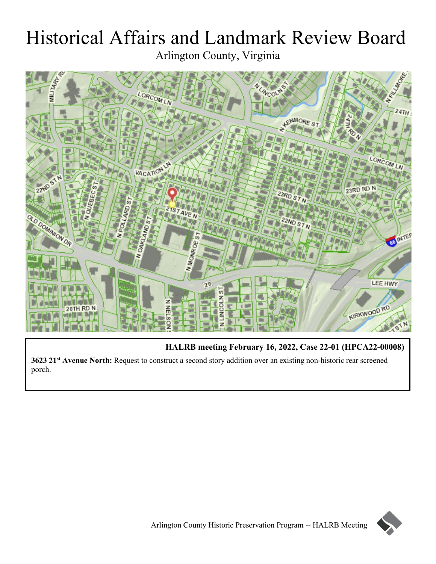# Historical Affairs and Landmark Review Board Arlington County, Virginia



**HALRB meeting February 16, 2022, Case 22-01 (HPCA22-00008)**

**3623 21st Avenue North:** Request to construct a second story addition over an existing non-historic rear screened porch.

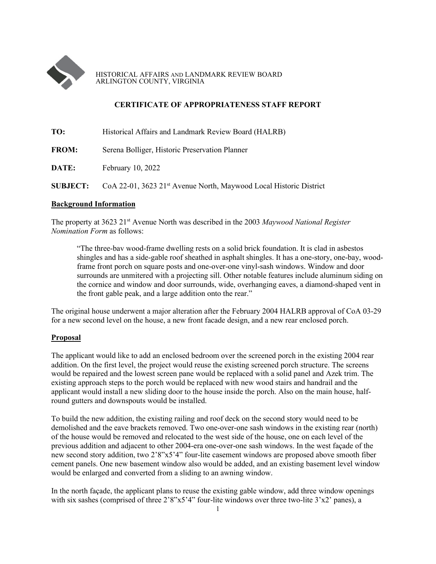

HISTORICAL AFFAIRS AND LANDMARK REVIEW BOARD ARLINGTON COUNTY, VIRGINIA

## **CERTIFICATE OF APPROPRIATENESS STAFF REPORT**

| TO:             | Historical Affairs and Landmark Review Board (HALRB)                           |
|-----------------|--------------------------------------------------------------------------------|
| <b>FROM:</b>    | Serena Bolliger, Historic Preservation Planner                                 |
| DATE:           | February 10, 2022                                                              |
| <b>SUBJECT:</b> | CoA 22-01, 3623 21 <sup>st</sup> Avenue North, Maywood Local Historic District |

#### **Background Information**

The property at 3623 21st Avenue North was described in the 2003 *Maywood National Register Nomination Form* as follows:

"The three-bav wood-frame dwelling rests on a solid brick foundation. It is clad in asbestos shingles and has a side-gable roof sheathed in asphalt shingles. It has a one-story, one-bay, woodframe front porch on square posts and one-over-one vinyl-sash windows. Window and door surrounds are unmitered with a projecting sill. Other notable features include aluminum siding on the cornice and window and door surrounds, wide, overhanging eaves, a diamond-shaped vent in the front gable peak, and a large addition onto the rear."

The original house underwent a major alteration after the February 2004 HALRB approval of CoA 03-29 for a new second level on the house, a new front facade design, and a new rear enclosed porch.

#### **Proposal**

The applicant would like to add an enclosed bedroom over the screened porch in the existing 2004 rear addition. On the first level, the project would reuse the existing screened porch structure. The screens would be repaired and the lowest screen pane would be replaced with a solid panel and Azek trim. The existing approach steps to the porch would be replaced with new wood stairs and handrail and the applicant would install a new sliding door to the house inside the porch. Also on the main house, halfround gutters and downspouts would be installed.

To build the new addition, the existing railing and roof deck on the second story would need to be demolished and the eave brackets removed. Two one-over-one sash windows in the existing rear (north) of the house would be removed and relocated to the west side of the house, one on each level of the previous addition and adjacent to other 2004-era one-over-one sash windows. In the west façade of the new second story addition, two 2'8"x5'4" four-lite casement windows are proposed above smooth fiber cement panels. One new basement window also would be added, and an existing basement level window would be enlarged and converted from a sliding to an awning window.

In the north façade, the applicant plans to reuse the existing gable window, add three window openings with six sashes (comprised of three 2'8"x5'4" four-lite windows over three two-lite 3'x2' panes), a